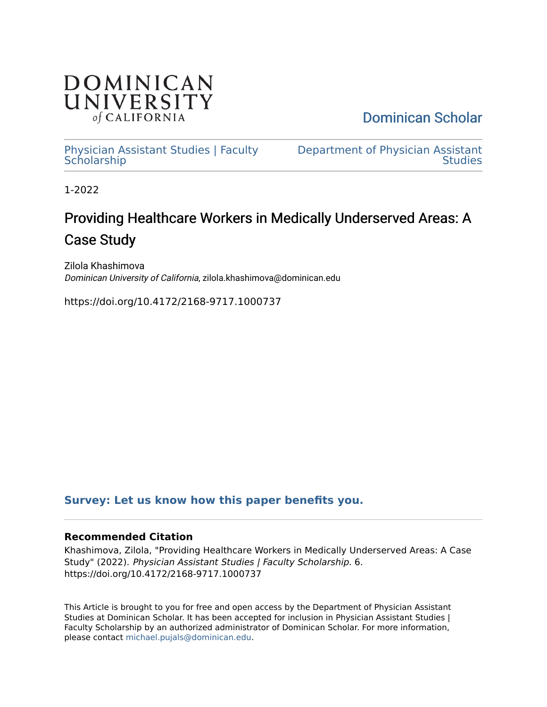

[Dominican Scholar](https://scholar.dominican.edu/) 

[Physician Assistant Studies | Faculty](https://scholar.dominican.edu/physician-assistant-studies-faculty-scholarship) **Scholarship** 

[Department of Physician Assistant](https://scholar.dominican.edu/physician-assistant-studies)  **Studies** 

1-2022

# Providing Healthcare Workers in Medically Underserved Areas: A Case Study

Zilola Khashimova Dominican University of California, zilola.khashimova@dominican.edu

https://doi.org/10.4172/2168-9717.1000737

## **[Survey: Let us know how this paper benefits you.](https://dominican.libwizard.com/dominican-scholar-feedback)**

## **Recommended Citation**

Khashimova, Zilola, "Providing Healthcare Workers in Medically Underserved Areas: A Case Study" (2022). Physician Assistant Studies | Faculty Scholarship. 6. https://doi.org/10.4172/2168-9717.1000737

This Article is brought to you for free and open access by the Department of Physician Assistant Studies at Dominican Scholar. It has been accepted for inclusion in Physician Assistant Studies | Faculty Scholarship by an authorized administrator of Dominican Scholar. For more information, please contact [michael.pujals@dominican.edu.](mailto:michael.pujals@dominican.edu)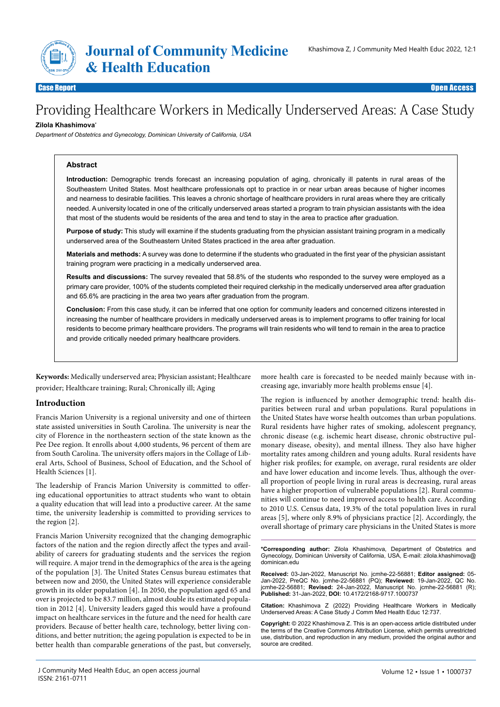

en and the search Article Open Access to the search Article Open Access to the search Article Open Access to t<br>The search Article Open Access to the search Article Open Access to the search Article Open Access to the searc

Case Report Open Access

# Providing Healthcare Workers in Medically Underserved Areas: A Case Study

#### **Zilola Khashimova\***

*Department of Obstetrics and Gynecology, Dominican University of California, USA* 

#### **Abstract**

**Introduction:** Demographic trends forecast an increasing population of aging, chronically ill patents in rural areas of the Southeastern United States. Most healthcare professionals opt to practice in or near urban areas because of higher incomes and nearness to desirable facilities. This leaves a chronic shortage of healthcare providers in rural areas where they are critically needed. A university located in one of the critically underserved areas started a program to train physician assistants with the idea that most of the students would be residents of the area and tend to stay in the area to practice after graduation.

**Purpose of study:** This study will examine if the students graduating from the physician assistant training program in a medically underserved area of the Southeastern United States practiced in the area after graduation.

**Materials and methods:** A survey was done to determine if the students who graduated in the first year of the physician assistant training program were practicing in a medically underserved area.

**Results and discussions:** The survey revealed that 58.8% of the students who responded to the survey were employed as a primary care provider, 100% of the students completed their required clerkship in the medically underserved area after graduation and 65.6% are practicing in the area two years after graduation from the program.

**Conclusion:** From this case study, it can be inferred that one option for community leaders and concerned citizens interested in increasing the number of healthcare providers in medically underserved areas is to implement programs to offer training for local residents to become primary healthcare providers. The programs will train residents who will tend to remain in the area to practice and provide critically needed primary healthcare providers.

**Keywords:** Medically underserved area; Physician assistant; Healthcare provider; Healthcare training; Rural; Chronically ill; Aging

#### **Introduction**

Francis Marion University is a regional university and one of thirteen state assisted universities in South Carolina. The university is near the city of Florence in the northeastern section of the state known as the Pee Dee region. It enrolls about 4,000 students, 96 percent of them are from South Carolina. The university offers majors in the Collage of Liberal Arts, School of Business, School of Education, and the School of Health Sciences [1].

The leadership of Francis Marion University is committed to offering educational opportunities to attract students who want to obtain a quality education that will lead into a productive career. At the same time, the university leadership is committed to providing services to the region [2].

Francis Marion University recognized that the changing demographic factors of the nation and the region directly affect the types and availability of careers for graduating students and the services the region will require. A major trend in the demographics of the area is the ageing of the population [3]. The United States Census bureau estimates that between now and 2050, the United States will experience considerable growth in its older population [4]. In 2050, the population aged 65 and over is projected to be 83.7 million, almost double its estimated population in 2012 [4]. University leaders gaged this would have a profound impact on healthcare services in the future and the need for health care providers. Because of better health care, technology, better living conditions, and better nutrition; the ageing population is expected to be in better health than comparable generations of the past, but conversely,

more health care is forecasted to be needed mainly because with increasing age, invariably more health problems ensue [4].

The region is influenced by another demographic trend: health disparities between rural and urban populations. Rural populations in the United States have worse health outcomes than urban populations. Rural residents have higher rates of smoking, adolescent pregnancy, chronic disease (e.g. ischemic heart disease, chronic obstructive pulmonary disease, obesity), and mental illness. They also have higher mortality rates among children and young adults. Rural residents have higher risk profiles; for example, on average, rural residents are older and have lower education and income levels. Thus, although the overall proportion of people living in rural areas is decreasing, rural areas have a higher proportion of vulnerable populations [2]. Rural communities will continue to need improved access to health care. According to 2010 U.S. Census data, 19.3% of the total population lives in rural areas [5], where only 8.9% of physicians practice [2]. Accordingly, the overall shortage of primary care physicians in the United States is more

**\*Corresponding author:** Zilola Khashimova, Department of Obstetrics and Gynecology, Dominican University of California, USA, E-mail: zilola.khashimova@ dominican.edu

**Received:** 03-Jan-2022, Manuscript No. jcmhe-22-56881; **Editor assigned:** 05- Jan-2022, PreQC No. jcmhe-22-56881 (PQ); **Reviewed:** 19-Jan-2022, QC No. jcmhe-22-56881; **Revised:** 24-Jan-2022, Manuscript No. jcmhe-22-56881 (R); **Published:** 31-Jan-2022, **DOI:** 10.4172/2168-9717.1000737

**Citation:** Khashimova Z (2022) Providing Healthcare Workers in Medically Underserved Areas: A Case Study J Comm Med Health Educ 12:737.

**Copyright:** © 2022 Khashimova Z. This is an open-access article distributed under the terms of the Creative Commons Attribution License, which permits unrestricted use, distribution, and reproduction in any medium, provided the original author and source are credited.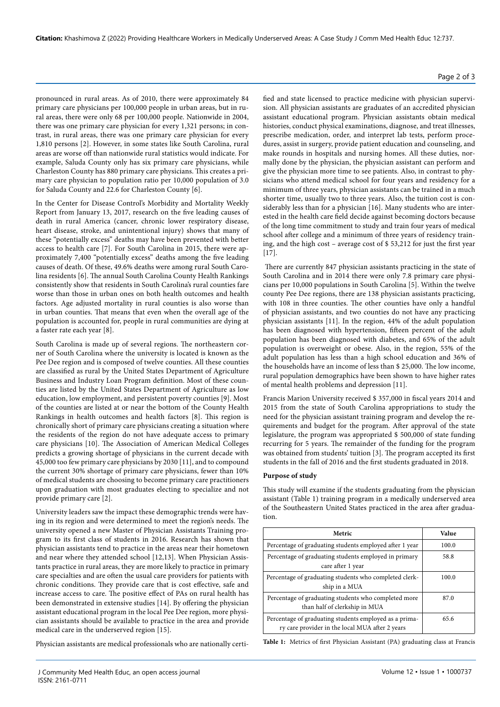pronounced in rural areas. As of 2010, there were approximately 84 primary care physicians per 100,000 people in urban areas, but in rural areas, there were only 68 per 100,000 people. Nationwide in 2004, there was one primary care physician for every 1,321 persons; in contrast, in rural areas, there was one primary care physician for every 1,810 persons [2]. However, in some states like South Carolina, rural areas are worse off than nationwide rural statistics would indicate. For example, Saluda County only has six primary care physicians, while Charleston County has 880 primary care physicians. This creates a primary care physician to population ratio per 10,000 population of 3.0 for Saluda County and 22.6 for Charleston County [6].

In the Center for Disease Control's Morbidity and Mortality Weekly Report from January 13, 2017, research on the five leading causes of death in rural America (cancer, chronic lower respiratory disease, heart disease, stroke, and unintentional injury) shows that many of these "potentially excess" deaths may have been prevented with better access to health care [7]. For South Carolina in 2015, there were approximately 7,400 "potentially excess" deaths among the five leading causes of death. Of these, 49.6% deaths were among rural South Carolina residents [6]. The annual South Carolina County Health Rankings consistently show that residents in South Carolina's rural counties fare worse than those in urban ones on both health outcomes and health factors. Age adjusted mortality in rural counties is also worse than in urban counties. That means that even when the overall age of the population is accounted for, people in rural communities are dying at a faster rate each year [8].

South Carolina is made up of several regions. The northeastern corner of South Carolina where the university is located is known as the Pee Dee region and is composed of twelve counties. All these counties are classified as rural by the United States Department of Agriculture Business and Industry Loan Program definition. Most of these counties are listed by the United States Department of Agriculture as low education, low employment, and persistent poverty counties [9]. Most of the counties are listed at or near the bottom of the County Health Rankings in health outcomes and health factors [8]. This region is chronically short of primary care physicians creating a situation where the residents of the region do not have adequate access to primary care physicians [10]. The Association of American Medical Colleges predicts a growing shortage of physicians in the current decade with 45,000 too few primary care physicians by 2030 [11], and to compound the current 30% shortage of primary care physicians, fewer than 10% of medical students are choosing to become primary care practitioners upon graduation with most graduates electing to specialize and not provide primary care [2].

University leaders saw the impact these demographic trends were having in its region and were determined to meet the region's needs. The university opened a new Master of Physician Assistants Training program to its first class of students in 2016. Research has shown that physician assistants tend to practice in the areas near their hometown and near where they attended school [12,13]. When Physician Assistants practice in rural areas, they are more likely to practice in primary care specialties and are often the usual care providers for patients with chronic conditions. They provide care that is cost effective, safe and increase access to care. The positive effect of PAs on rural health has been demonstrated in extensive studies [14]. By offering the physician assistant educational program in the local Pee Dee region, more physician assistants should be available to practice in the area and provide medical care in the underserved region [15].

Physician assistants are medical professionals who are nationally certi-

fied and state licensed to practice medicine with physician supervision. All physician assistants are graduates of an accredited physician assistant educational program. Physician assistants obtain medical histories, conduct physical examinations, diagnose, and treat illnesses, prescribe medication, order, and interpret lab tests, perform procedures, assist in surgery, provide patient education and counseling, and make rounds in hospitals and nursing homes. All these duties, normally done by the physician, the physician assistant can perform and give the physician more time to see patients. Also, in contrast to physicians who attend medical school for four years and residency for a minimum of three years, physician assistants can be trained in a much shorter time, usually two to three years. Also, the tuition cost is considerably less than for a physician [16]. Many students who are interested in the health care field decide against becoming doctors because of the long time commitment to study and train four years of medical school after college and a minimum of three years of residency training, and the high cost – average cost of \$ 53,212 for just the first year [17].

 There are currently 847 physician assistants practicing in the state of South Carolina and in 2014 there were only 7.8 primary care physicians per 10,000 populations in South Carolina [5]. Within the twelve county Pee Dee regions, there are 138 physician assistants practicing, with 108 in three counties. The other counties have only a handful of physician assistants, and two counties do not have any practicing physician assistants [11]. In the region, 44% of the adult population has been diagnosed with hypertension, fifteen percent of the adult population has been diagnosed with diabetes, and 65% of the adult population is overweight or obese. Also, in the region, 55% of the adult population has less than a high school education and 36% of the households have an income of less than \$ 25,000. The low income, rural population demographics have been shown to have higher rates of mental health problems and depression [11].

Francis Marion University received \$ 357,000 in fiscal years 2014 and 2015 from the state of South Carolina appropriations to study the need for the physician assistant training program and develop the requirements and budget for the program. After approval of the state legislature, the program was appropriated \$ 500,000 of state funding recurring for 5 years. The remainder of the funding for the program was obtained from students' tuition [3]. The program accepted its first students in the fall of 2016 and the first students graduated in 2018.

#### **Purpose of study**

This study will examine if the students graduating from the physician assistant (Table 1) training program in a medically underserved area of the Southeastern United States practiced in the area after graduation.

| Metric                                                                                                    | Value |
|-----------------------------------------------------------------------------------------------------------|-------|
| Percentage of graduating students employed after 1 year                                                   | 100.0 |
| Percentage of graduating students employed in primary<br>care after 1 year                                | 58.8  |
| Percentage of graduating students who completed clerk-<br>ship in a MUA                                   | 100.0 |
| Percentage of graduating students who completed more<br>than half of clerkship in MUA                     | 87.0  |
| Percentage of graduating students employed as a prima-<br>ry care provider in the local MUA after 2 years | 65.6  |

**Table 1:** Metrics of first Physician Assistant (PA) graduating class at Francis